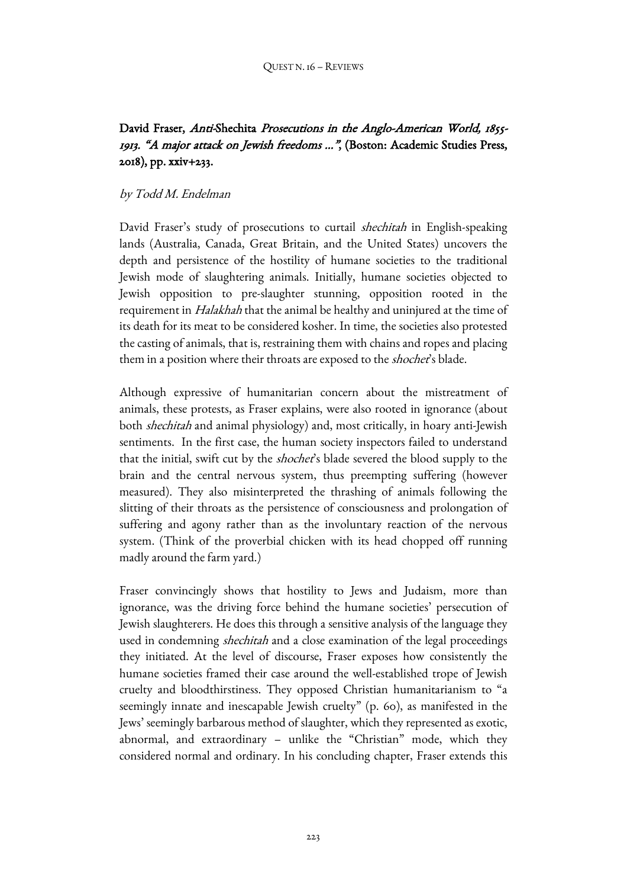# David Fraser, Anti-Shechita Prosecutions in the Anglo-American World, 1855-1913. "A major attack on Jewish freedoms ...", (Boston: Academic Studies Press, 2018), pp. xxiv+233.

## by Todd M. Endelman

David Fraser's study of prosecutions to curtail *shechitah* in English-speaking lands (Australia, Canada, Great Britain, and the United States) uncovers the depth and persistence of the hostility of humane societies to the traditional Jewish mode of slaughtering animals. Initially, humane societies objected to Jewish opposition to pre-slaughter stunning, opposition rooted in the requirement in *Halakhah* that the animal be healthy and uninjured at the time of its death for its meat to be considered kosher. In time, the societies also protested the casting of animals, that is, restraining them with chains and ropes and placing them in a position where their throats are exposed to the *shochet's* blade.

Although expressive of humanitarian concern about the mistreatment of animals, these protests, as Fraser explains, were also rooted in ignorance (about both shechitah and animal physiology) and, most critically, in hoary anti-Jewish sentiments. In the first case, the human society inspectors failed to understand that the initial, swift cut by the *shochet's* blade severed the blood supply to the brain and the central nervous system, thus preempting suffering (however measured). They also misinterpreted the thrashing of animals following the slitting of their throats as the persistence of consciousness and prolongation of suffering and agony rather than as the involuntary reaction of the nervous system. (Think of the proverbial chicken with its head chopped off running madly around the farm yard.)

Fraser convincingly shows that hostility to Jews and Judaism, more than ignorance, was the driving force behind the humane societies' persecution of Jewish slaughterers. He does this through a sensitive analysis of the language they used in condemning *shechitah* and a close examination of the legal proceedings they initiated. At the level of discourse, Fraser exposes how consistently the humane societies framed their case around the well-established trope of Jewish cruelty and bloodthirstiness. They opposed Christian humanitarianism to "a seemingly innate and inescapable Jewish cruelty" (p. 60), as manifested in the Jews' seemingly barbarous method of slaughter, which they represented as exotic, abnormal, and extraordinary – unlike the "Christian" mode, which they considered normal and ordinary. In his concluding chapter, Fraser extends this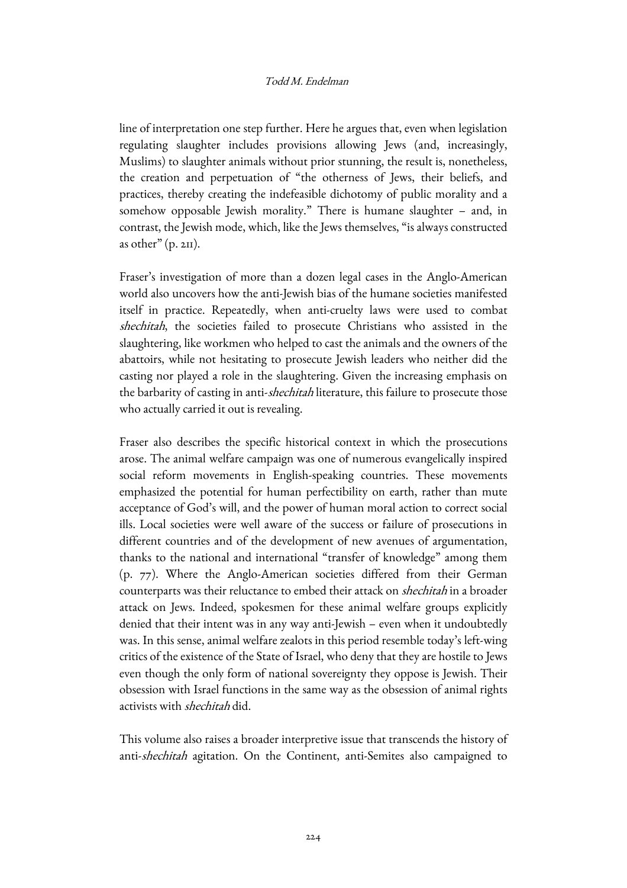#### Todd M. Endelman

line of interpretation one step further. Here he argues that, even when legislation regulating slaughter includes provisions allowing Jews (and, increasingly, Muslims) to slaughter animals without prior stunning, the result is, nonetheless, the creation and perpetuation of "the otherness of Jews, their beliefs, and practices, thereby creating the indefeasible dichotomy of public morality and a somehow opposable Jewish morality." There is humane slaughter – and, in contrast, the Jewish mode, which, like the Jews themselves, "is always constructed as other"  $(p. 2H)$ .

Fraser's investigation of more than a dozen legal cases in the Anglo-American world also uncovers how the anti-Jewish bias of the humane societies manifested itself in practice. Repeatedly, when anti-cruelty laws were used to combat shechitah, the societies failed to prosecute Christians who assisted in the slaughtering, like workmen who helped to cast the animals and the owners of the abattoirs, while not hesitating to prosecute Jewish leaders who neither did the casting nor played a role in the slaughtering. Given the increasing emphasis on the barbarity of casting in anti-shechitah literature, this failure to prosecute those who actually carried it out is revealing.

Fraser also describes the specific historical context in which the prosecutions arose. The animal welfare campaign was one of numerous evangelically inspired social reform movements in English-speaking countries. These movements emphasized the potential for human perfectibility on earth, rather than mute acceptance of God's will, and the power of human moral action to correct social ills. Local societies were well aware of the success or failure of prosecutions in different countries and of the development of new avenues of argumentation, thanks to the national and international "transfer of knowledge" among them (p. 77). Where the Anglo-American societies differed from their German counterparts was their reluctance to embed their attack on shechitah in a broader attack on Jews. Indeed, spokesmen for these animal welfare groups explicitly denied that their intent was in any way anti-Jewish – even when it undoubtedly was. In this sense, animal welfare zealots in this period resemble today's left-wing critics of the existence of the State of Israel, who deny that they are hostile to Jews even though the only form of national sovereignty they oppose is Jewish. Their obsession with Israel functions in the same way as the obsession of animal rights activists with shechitah did.

This volume also raises a broader interpretive issue that transcends the history of anti-shechitah agitation. On the Continent, anti-Semites also campaigned to